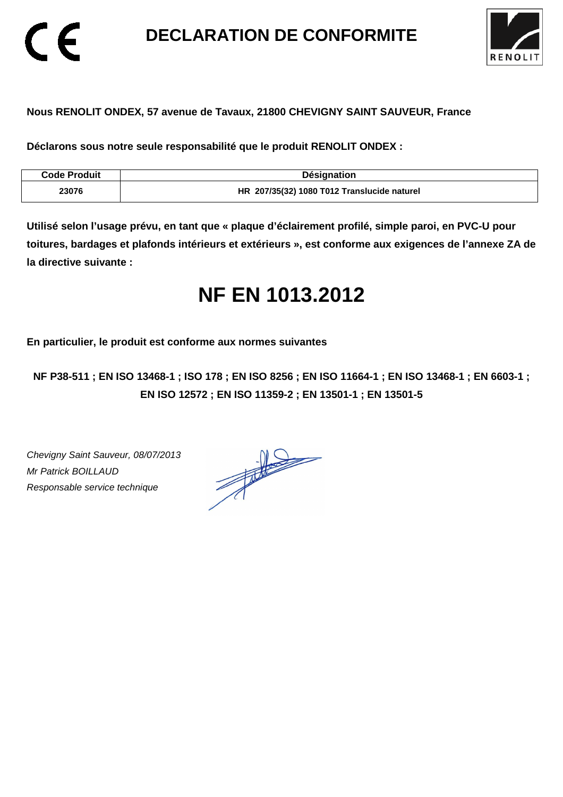**DECLARATION DE CONFORMITE** 



# **Nous RENOLIT ONDEX, 57 avenue de Tavaux, 21800 CHEVIGNY SAINT SAUVEUR, France**

**Déclarons sous notre seule responsabilité que le produit RENOLIT ONDEX :** 

| <b>Code Produit</b> | <b>Désignation</b>                          |
|---------------------|---------------------------------------------|
| 23076               | HR 207/35(32) 1080 T012 Translucide naturel |

**Utilisé selon l'usage prévu, en tant que « plaque d'éclairement profilé, simple paroi, en PVC-U pour toitures, bardages et plafonds intérieurs et extérieurs », est conforme aux exigences de l'annexe ZA de la directive suivante :** 

# **NF EN 1013.2012**

**En particulier, le produit est conforme aux normes suivantes** 

**NF P38-511 ; EN ISO 13468-1 ; ISO 178 ; EN ISO 8256 ; EN ISO 11664-1 ; EN ISO 13468-1 ; EN 6603-1 ; EN ISO 12572 ; EN ISO 11359-2 ; EN 13501-1 ; EN 13501-5**

Chevigny Saint Sauveur, 08/07/2013 Mr Patrick BOILLAUD Responsable service technique

 $\epsilon$ 

 $\frac{1}{\sqrt{2}}$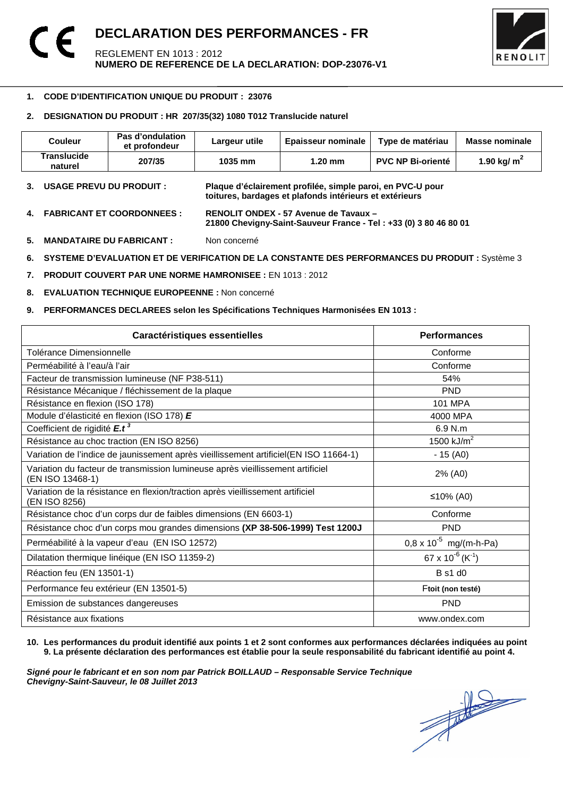

### -**1. CODE D'IDENTIFICATION UNIQUE DU PRODUIT : 23076**

## **2. DESIGNATION DU PRODUIT : HR 207/35(32) 1080 T012 Translucide naturel**

| Couleur                | <b>Pas d'ondulation</b><br>et profondeur | Largeur utile | <b>Epaisseur nominale</b> | Type de matériau         | Masse nominale          |
|------------------------|------------------------------------------|---------------|---------------------------|--------------------------|-------------------------|
| Translucide<br>naturel | 207/35                                   | 1035 mm       | $1.20$ mm                 | <b>PVC NP Bi-orienté</b> | 1.90 kg/ m <sup>-</sup> |

- **3. USAGE PREVU DU PRODUIT : Plaque d'éclairement profilée, simple paroi, en PVC-U pour toitures, bardages et plafonds intérieurs et extérieurs**
- **4. FABRICANT ET COORDONNEES : RENOLIT ONDEX 57 Avenue de Tavaux 21800 Chevigny-Saint-Sauveur France - Tel : +33 (0) 3 80 46 80 01**
- **5. MANDATAIRE DU FABRICANT :** Non concerné
- **6. SYSTEME D'EVALUATION ET DE VERIFICATION DE LA CONSTANTE DES PERFORMANCES DU PRODUIT :** Système 3
- **7. PRODUIT COUVERT PAR UNE NORME HAMRONISEE :** EN 1013 : 2012
- **8. EVALUATION TECHNIQUE EUROPEENNE :** Non concerné
- **9. PERFORMANCES DECLAREES selon les Spécifications Techniques Harmonisées EN 1013 :**

| Caractéristiques essentielles                                                                      | <b>Performances</b>               |
|----------------------------------------------------------------------------------------------------|-----------------------------------|
| Tolérance Dimensionnelle                                                                           | Conforme                          |
| Perméabilité à l'eau/à l'air                                                                       | Conforme                          |
| Facteur de transmission lumineuse (NF P38-511)                                                     | 54%                               |
| Résistance Mécanique / fléchissement de la plaque                                                  | <b>PND</b>                        |
| Résistance en flexion (ISO 178)                                                                    | 101 MPA                           |
| Module d'élasticité en flexion (ISO 178) E                                                         | 4000 MPA                          |
| Coefficient de rigidité E.t <sup>3</sup>                                                           | 6.9 N.m                           |
| Résistance au choc traction (EN ISO 8256)                                                          | 1500 $kJ/m2$                      |
| Variation de l'indice de jaunissement après vieillissement artificiel(EN ISO 11664-1)              | $-15(40)$                         |
| Variation du facteur de transmission lumineuse après vieillissement artificiel<br>(EN ISO 13468-1) | 2% (A0)                           |
| Variation de la résistance en flexion/traction après vieillissement artificiel<br>(EN ISO 8256)    | ≤10% (A0)                         |
| Résistance choc d'un corps dur de faibles dimensions (EN 6603-1)                                   | Conforme                          |
| Résistance choc d'un corps mou grandes dimensions (XP 38-506-1999) Test 1200J                      | <b>PND</b>                        |
| Perméabilité à la vapeur d'eau (EN ISO 12572)                                                      | $0.8 \times 10^{-5}$ mg/(m-h-Pa)  |
| Dilatation thermique linéique (EN ISO 11359-2)                                                     | 67 x $10^{-6}$ (K <sup>-1</sup> ) |
| Réaction feu (EN 13501-1)                                                                          | <b>B</b> s1 d0                    |
| Performance feu extérieur (EN 13501-5)                                                             | Ftoit (non testé)                 |
| Emission de substances dangereuses                                                                 | <b>PND</b>                        |
| Résistance aux fixations                                                                           | www.ondex.com                     |

**10. Les performances du produit identifié aux points 1 et 2 sont conformes aux performances déclarées indiquées au point 9. La présente déclaration des performances est établie pour la seule responsabilité du fabricant identifié au point 4.** 

Signé pour le fabricant et en son nom par Patrick BOILLAUD – Responsable Service Technique<br>Chevigny-Saint-Sauveur, le 08 Juillet 2013<br> **Chevigny-Saint-Sauveur, le 08 Juillet 2013 Chevigny-Saint-Sauveur, le 08 Juillet 2013**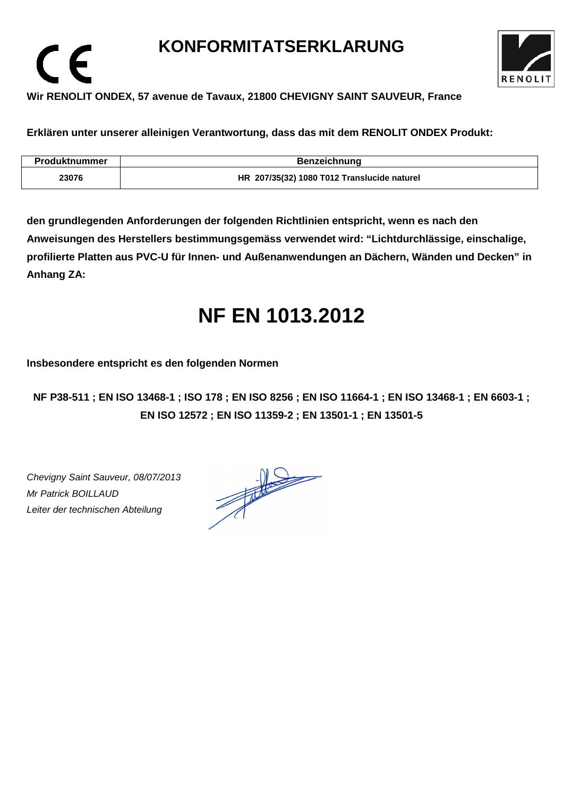# **KONFORMITATSERKLARUNG**



# **Wir RENOLIT ONDEX, 57 avenue de Tavaux, 21800 CHEVIGNY SAINT SAUVEUR, France**

**Erklären unter unserer alleinigen Verantwortung, dass das mit dem RENOLIT ONDEX Produkt:** 

| Produktnummer | <b>Benzeichnung</b>                         |
|---------------|---------------------------------------------|
| 23076         | HR 207/35(32) 1080 T012 Translucide naturel |

**den grundlegenden Anforderungen der folgenden Richtlinien entspricht, wenn es nach den Anweisungen des Herstellers bestimmungsgemäss verwendet wird: "Lichtdurchlässige, einschalige, profilierte Platten aus PVC-U für Innen- und Außenanwendungen an Dächern, Wänden und Decken" in Anhang ZA:** 

# **NF EN 1013.2012**

**Insbesondere entspricht es den folgenden Normen** 

**NF P38-511 ; EN ISO 13468-1 ; ISO 178 ; EN ISO 8256 ; EN ISO 11664-1 ; EN ISO 13468-1 ; EN 6603-1 ; EN ISO 12572 ; EN ISO 11359-2 ; EN 13501-1 ; EN 13501-5**

Chevigny Saint Sauveur, 08/07/2013 Mr Patrick BOILLAUD Leiter der technischen Abteilung

 $\epsilon$ 

 $\frac{1}{\sqrt{2}}$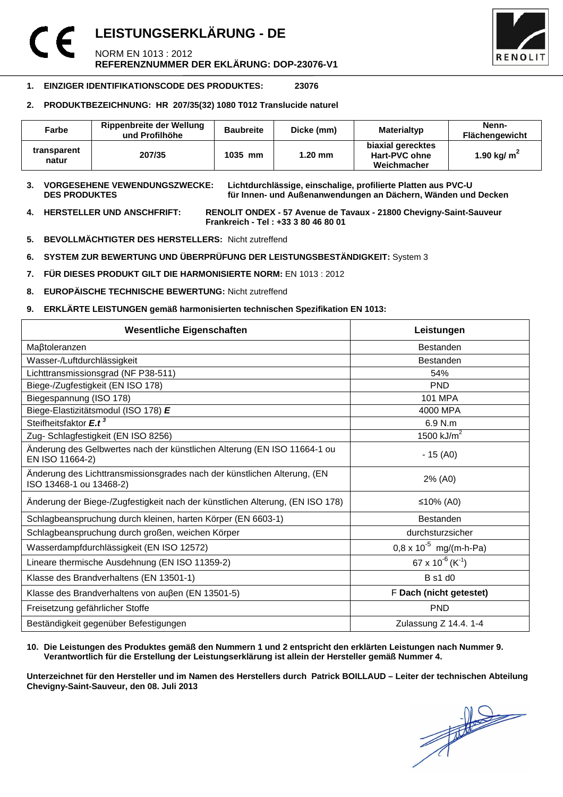## **LEISTUNGSERKLÄRUNG - DE**  C E NORM EN 1013 : 2012 **REFERENZNUMMER DER EKLÄRUNG: DOP-23076-V1**



## **1. EINZIGER IDENTIFIKATIONSCODE DES PRODUKTES: 23076**

## **2. PRODUKTBEZEICHNUNG: HR 207/35(32) 1080 T012 Translucide naturel**

| Farbe                | Rippenbreite der Wellung<br>und Profilhöhe | <b>Baubreite</b> | Dicke (mm) | Materialtyp                                              | Nenn-<br><b>Flächengewicht</b> |
|----------------------|--------------------------------------------|------------------|------------|----------------------------------------------------------|--------------------------------|
| transparent<br>natur | 207/35                                     | 1035 mm          | $1.20$ mm  | biaxial gerecktes<br><b>Hart-PVC ohne</b><br>Weichmacher | 1.90 kg/ $m2$                  |

**3. VORGESEHENE VEWENDUNGSZWECKE: Lichtdurchlässige, einschalige, profilierte Platten aus PVC-U**  für Innen- und Außenanwendungen an Dächern, Wänden und Decken

**4. HERSTELLER UND ANSCHFRIFT: RENOLIT ONDEX - 57 Avenue de Tavaux - 21800 Chevigny-Saint-Sauveur Frankreich - Tel : +33 3 80 46 80 01** 

- **5. BEVOLLMÄCHTIGTER DES HERSTELLERS:** Nicht zutreffend
- **6. SYSTEM ZUR BEWERTUNG UND ÜBERPRÜFUNG DER LEISTUNGSBESTÄNDIGKEIT:** System 3
- **7. FÜR DIESES PRODUKT GILT DIE HARMONISIERTE NORM:** EN 1013 : 2012
- **8. EUROPÄISCHE TECHNISCHE BEWERTUNG:** Nicht zutreffend
- **9. ERKLÄRTE LEISTUNGEN gemäß harmonisierten technischen Spezifikation EN 1013:**

| <b>Wesentliche Eigenschaften</b>                                                                    | Leistungen                               |  |
|-----------------------------------------------------------------------------------------------------|------------------------------------------|--|
| Maßtoleranzen                                                                                       | <b>Bestanden</b>                         |  |
| Wasser-/Luftdurchlässigkeit                                                                         | <b>Bestanden</b>                         |  |
| Lichttransmissionsgrad (NF P38-511)                                                                 | 54%                                      |  |
| Biege-/Zugfestigkeit (EN ISO 178)                                                                   | <b>PND</b>                               |  |
| Biegespannung (ISO 178)                                                                             | <b>101 MPA</b>                           |  |
| Biege-Elastizitätsmodul (ISO 178) E                                                                 | 4000 MPA                                 |  |
| Steifheitsfaktor E.t <sup>3</sup>                                                                   | 6.9 N.m                                  |  |
| Zug- Schlagfestigkeit (EN ISO 8256)                                                                 | 1500 $kJ/m2$                             |  |
| Änderung des Gelbwertes nach der künstlichen Alterung (EN ISO 11664-1 ou<br>EN ISO 11664-2)         | $-15(40)$                                |  |
| Änderung des Lichttransmissionsgrades nach der künstlichen Alterung, (EN<br>ISO 13468-1 ou 13468-2) | 2% (A0)                                  |  |
| Änderung der Biege-/Zugfestigkeit nach der künstlichen Alterung, (EN ISO 178)                       | ≤10% (A0)                                |  |
| Schlagbeanspruchung durch kleinen, harten Körper (EN 6603-1)                                        | <b>Bestanden</b>                         |  |
| Schlagbeanspruchung durch großen, weichen Körper                                                    | durchsturzsicher                         |  |
| Wasserdampfdurchlässigkeit (EN ISO 12572)                                                           | $0.8 \times 10^{-5}$ mg/(m-h-Pa)         |  |
| Lineare thermische Ausdehnung (EN ISO 11359-2)                                                      | 67 x 10 <sup>-6</sup> (K <sup>-1</sup> ) |  |
| Klasse des Brandverhaltens (EN 13501-1)                                                             | <b>B</b> s1 d0                           |  |
| Klasse des Brandverhaltens von außen (EN 13501-5)                                                   | F Dach (nicht getestet)                  |  |
| Freisetzung gefährlicher Stoffe                                                                     | <b>PND</b>                               |  |
| Beständigkeit gegenüber Befestigungen                                                               | Zulassung Z 14.4. 1-4                    |  |

### **10. Die Leistungen des Produktes gemäß den Nummern 1 und 2 entspricht den erklärten Leistungen nach Nummer 9. Verantwortlich für die Erstellung der Leistungserklärung ist allein der Hersteller gemäß Nummer 4.**

**Unterzeichnet für den Hersteller und im Namen des Herstellers durch Patrick BOILLAUD – Leiter der technischen Abteilung Chevigny-Saint-Sauveur, den 08. Juli 2013**

 $\frac{1}{\sqrt{2}}$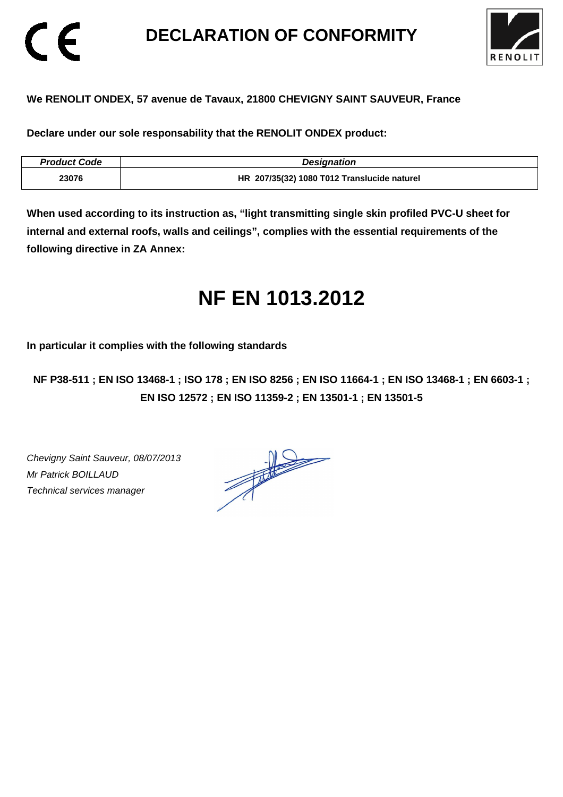# **DECLARATION OF CONFORMITY**



# **We RENOLIT ONDEX, 57 avenue de Tavaux, 21800 CHEVIGNY SAINT SAUVEUR, France**

**Declare under our sole responsability that the RENOLIT ONDEX product:** 

| <b>Product Code</b> | <b>Designation</b>                          |
|---------------------|---------------------------------------------|
| 23076               | HR 207/35(32) 1080 T012 Translucide naturel |

**When used according to its instruction as, "light transmitting single skin profiled PVC-U sheet for internal and external roofs, walls and ceilings", complies with the essential requirements of the following directive in ZA Annex:** 

# **NF EN 1013.2012**

**In particular it complies with the following standards** 

**NF P38-511 ; EN ISO 13468-1 ; ISO 178 ; EN ISO 8256 ; EN ISO 11664-1 ; EN ISO 13468-1 ; EN 6603-1 ; EN ISO 12572 ; EN ISO 11359-2 ; EN 13501-1 ; EN 13501-5**

Chevigny Saint Sauveur, 08/07/2013 Mr Patrick BOILLAUD Technical services manager

CE

 $\frac{1}{\sqrt{2}}$